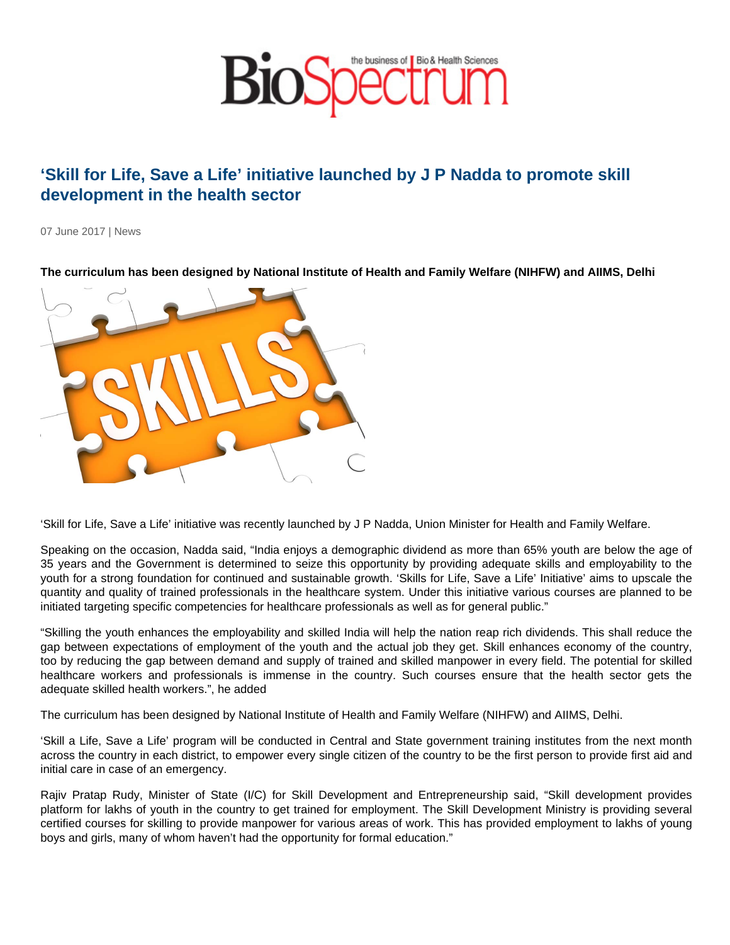## 'Skill for Life, Save a Life' initiative launched by J P Nadda to promote skill development in the health sector

07 June 2017 | News

The curriculum has been designed by National Institute of Health and Family Welfare (NIHFW) and AIIMS, Delhi

'Skill for Life, Save a Life' initiative was recently launched by J P Nadda, Union Minister for Health and Family Welfare.

Speaking on the occasion, Nadda said, "India enjoys a demographic dividend as more than 65% youth are below the age of 35 years and the Government is determined to seize this opportunity by providing adequate skills and employability to the youth for a strong foundation for continued and sustainable growth. 'Skills for Life, Save a Life' Initiative' aims to upscale the quantity and quality of trained professionals in the healthcare system. Under this initiative various courses are planned to be initiated targeting specific competencies for healthcare professionals as well as for general public."

"Skilling the youth enhances the employability and skilled India will help the nation reap rich dividends. This shall reduce the gap between expectations of employment of the youth and the actual job they get. Skill enhances economy of the country, too by reducing the gap between demand and supply of trained and skilled manpower in every field. The potential for skilled healthcare workers and professionals is immense in the country. Such courses ensure that the health sector gets the adequate skilled health workers.", he added

The curriculum has been designed by National Institute of Health and Family Welfare (NIHFW) and AIIMS, Delhi.

'Skill a Life, Save a Life' program will be conducted in Central and State government training institutes from the next month across the country in each district, to empower every single citizen of the country to be the first person to provide first aid and initial care in case of an emergency.

Rajiv Pratap Rudy, Minister of State (I/C) for Skill Development and Entrepreneurship said, "Skill development provides platform for lakhs of youth in the country to get trained for employment. The Skill Development Ministry is providing several certified courses for skilling to provide manpower for various areas of work. This has provided employment to lakhs of young boys and girls, many of whom haven't had the opportunity for formal education."